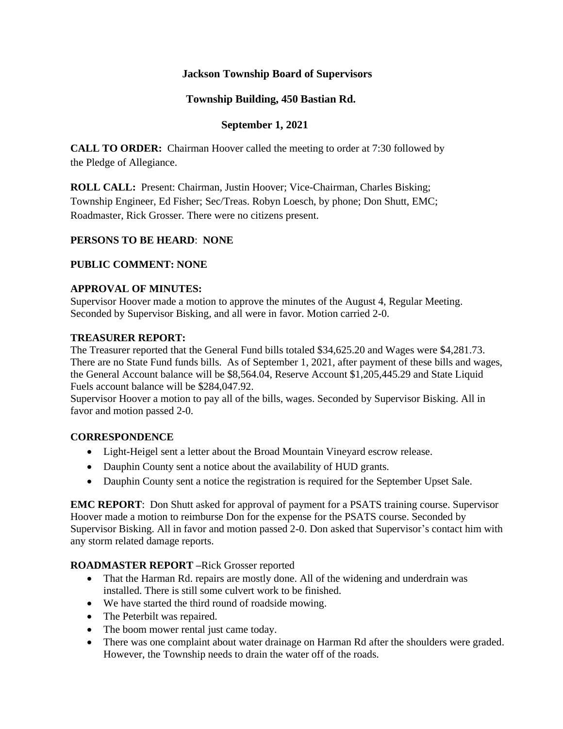# **Jackson Township Board of Supervisors**

# **Township Building, 450 Bastian Rd.**

## **September 1, 2021**

**CALL TO ORDER:** Chairman Hoover called the meeting to order at 7:30 followed by the Pledge of Allegiance.

**ROLL CALL:** Present: Chairman, Justin Hoover; Vice-Chairman, Charles Bisking; Township Engineer, Ed Fisher; Sec/Treas. Robyn Loesch, by phone; Don Shutt, EMC; Roadmaster, Rick Grosser. There were no citizens present.

### **PERSONS TO BE HEARD**: **NONE**

## **PUBLIC COMMENT: NONE**

### **APPROVAL OF MINUTES:**

Supervisor Hoover made a motion to approve the minutes of the August 4, Regular Meeting. Seconded by Supervisor Bisking, and all were in favor. Motion carried 2-0.

#### **TREASURER REPORT:**

The Treasurer reported that the General Fund bills totaled \$34,625.20 and Wages were \$4,281.73. There are no State Fund funds bills. As of September 1, 2021, after payment of these bills and wages, the General Account balance will be \$8,564.04, Reserve Account \$1,205,445.29 and State Liquid Fuels account balance will be \$284,047.92.

Supervisor Hoover a motion to pay all of the bills, wages. Seconded by Supervisor Bisking. All in favor and motion passed 2-0.

### **CORRESPONDENCE**

- Light-Heigel sent a letter about the Broad Mountain Vineyard escrow release.
- Dauphin County sent a notice about the availability of HUD grants.
- Dauphin County sent a notice the registration is required for the September Upset Sale.

**EMC REPORT**: Don Shutt asked for approval of payment for a PSATS training course. Supervisor Hoover made a motion to reimburse Don for the expense for the PSATS course. Seconded by Supervisor Bisking. All in favor and motion passed 2-0. Don asked that Supervisor's contact him with any storm related damage reports.

### **ROADMASTER REPORT –**Rick Grosser reported

- That the Harman Rd. repairs are mostly done. All of the widening and underdrain was installed. There is still some culvert work to be finished.
- We have started the third round of roadside mowing.
- The Peterbilt was repaired.
- The boom mower rental just came today.
- There was one complaint about water drainage on Harman Rd after the shoulders were graded. However, the Township needs to drain the water off of the roads.